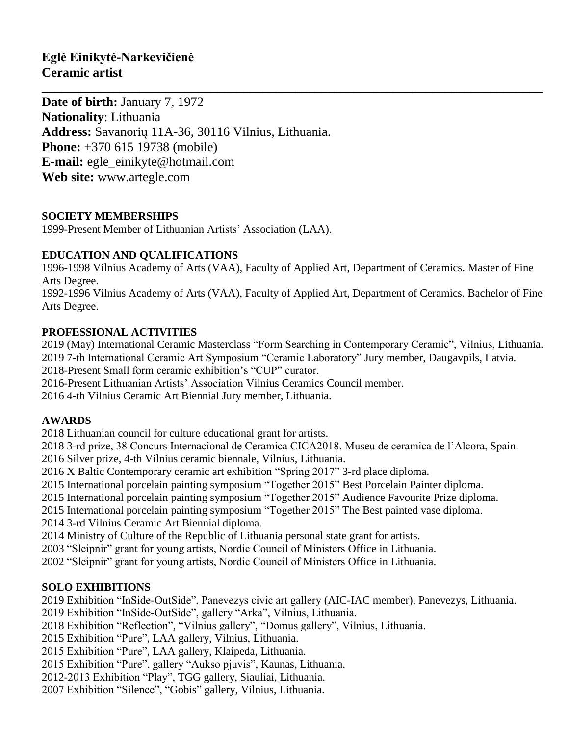**Date of birth:** January 7, 1972 **Nationality**: Lithuania **Address:** Savanorių 11A-36, 30116 Vilnius, Lithuania. **Phone:** +370 615 19738 (mobile) **E-mail:** [egle\\_einikyte@hotmail.com](mailto:egle_einikyte@hotmail.com) **Web site:** www.artegle.com

### **SOCIETY MEMBERSHIPS**

1999-Present Member of Lithuanian Artists' Association (LAA).

### **EDUCATION AND QUALIFICATIONS**

1996-1998 Vilnius Academy of Arts (VAA), Faculty of Applied Art, Department of Ceramics. Master of Fine Arts Degree.

**\_\_\_\_\_\_\_\_\_\_\_\_\_\_\_\_\_\_\_\_\_\_\_\_\_\_\_\_\_\_\_\_\_\_\_\_\_\_\_\_\_\_\_\_\_\_\_\_\_\_\_\_\_\_\_\_\_\_\_\_\_\_\_\_\_\_\_\_\_\_\_\_\_\_\_\_\_**

1992-1996 Vilnius Academy of Arts (VAA), Faculty of Applied Art, Department of Ceramics. Bachelor of Fine Arts Degree.

### **PROFESSIONAL ACTIVITIES**

2019 (May) International Ceramic Masterclass "Form Searching in Contemporary Ceramic", Vilnius, Lithuania. 2019 7-th International Ceramic Art Symposium "Ceramic Laboratory" Jury member, Daugavpils, Latvia.

2018-Present Small form ceramic exhibition's "CUP" curator.

2016-Present Lithuanian Artists' Association Vilnius Ceramics Council member.

2016 4-th Vilnius Ceramic Art Biennial Jury member, Lithuania.

### **AWARDS**

2018 Lithuanian council for culture educational grant for artists.

2018 3-rd prize, 38 Concurs Internacional de Ceramica CICA2018. Museu de ceramica de l'Alcora, Spain.

2016 Silver prize, 4-th Vilnius ceramic biennale, Vilnius, Lithuania.

2016 X Baltic Contemporary ceramic art exhibition "Spring 2017" 3-rd place diploma.

2015 International porcelain painting symposium "Together 2015" Best Porcelain Painter diploma.

2015 International porcelain painting symposium "Together 2015" Audience Favourite Prize diploma.

2015 International porcelain painting symposium "Together 2015" The Best painted vase diploma.

2014 3-rd Vilnius Ceramic Art Biennial diploma.

2014 Ministry of Culture of the Republic of Lithuania personal state grant for artists.

2003 "Sleipnir" grant for young artists, Nordic Council of Ministers Office in Lithuania.

2002 "Sleipnir" grant for young artists, Nordic Council of Ministers Office in Lithuania.

# **SOLO EXHIBITIONS**

2019 Exhibition "InSide-OutSide", Panevezys civic art gallery (AIC-IAC member), Panevezys, Lithuania.

2019 Exhibition "InSide-OutSide", gallery "Arka", Vilnius, Lithuania.

2018 Exhibition "Reflection", "Vilnius gallery", "Domus gallery", Vilnius, Lithuania.

2015 Exhibition "Pure", LAA gallery, Vilnius, Lithuania.

2015 Exhibition "Pure", LAA gallery, Klaipeda, Lithuania.

2015 Exhibition "Pure", gallery "Aukso pjuvis", Kaunas, Lithuania.

2012-2013 Exhibition "Play", TGG gallery, Siauliai, Lithuania.

2007 Exhibition "Silence", "Gobis" gallery, Vilnius, Lithuania.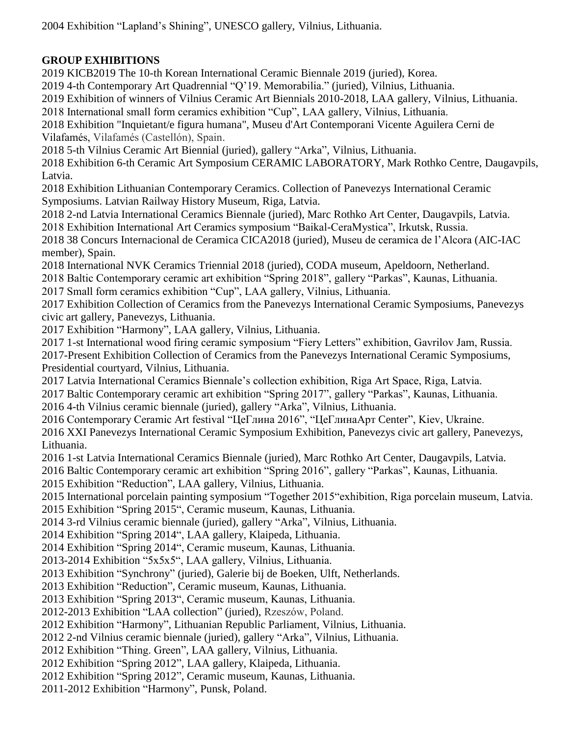2004 Exhibition "Lapland's Shining", UNESCO gallery, Vilnius, Lithuania.

## **GROUP EXHIBITIONS**

2019 KICB2019 The 10-th Korean International Ceramic Biennale 2019 (juried), Korea.

2019 4-th Contemporary Art Quadrennial "Q'19. Memorabilia." (juried), Vilnius, Lithuania.

2019 Exhibition of winners of Vilnius Ceramic Art Biennials 2010-2018, LAA gallery, Vilnius, Lithuania.

2018 International small form ceramics exhibition "Cup", LAA gallery, Vilnius, Lithuania.

2018 Exhibition "Inquietant/e figura humana", Museu d'Art Contemporani Vicente Aguilera Cerni de Vilafamés, Vilafamés (Castellón), Spain.

2018 5-th Vilnius Ceramic Art Biennial (juried), gallery "Arka", Vilnius, Lithuania.

2018 Exhibition 6-th Ceramic Art Symposium CERAMIC LABORATORY, Mark Rothko Centre, Daugavpils, Latvia.

2018 Exhibition Lithuanian Contemporary Ceramics. Collection of Panevezys International Ceramic Symposiums. Latvian Railway History Museum, Riga, Latvia.

2018 2-nd Latvia International Ceramics Biennale (juried), Marc Rothko Art Center, Daugavpils, Latvia. 2018 Exhibition International Art Ceramics symposium "Baikal-CeraMystica", Irkutsk, Russia.

2018 38 Concurs Internacional de Ceramica CICA2018 (juried), Museu de ceramica de l'Alcora (AIC-IAC member), Spain.

2018 International NVK Ceramics Triennial 2018 (juried), CODA museum, Apeldoorn, Netherland.

2018 Baltic Contemporary ceramic art exhibition "Spring 2018", gallery "Parkas", Kaunas, Lithuania.

2017 Small form ceramics exhibition "Cup", LAA gallery, Vilnius, Lithuania.

2017 Exhibition Collection of Ceramics from the Panevezys International Ceramic Symposiums, Panevezys civic art gallery, Panevezys, Lithuania.

2017 Exhibition "Harmony", LAA gallery, Vilnius, Lithuania.

2017 1-st International wood firing ceramic symposium "Fiery Letters" exhibition, Gavrilov Jam, Russia.

2017-Present Exhibition Collection of Ceramics from the Panevezys International Ceramic Symposiums, Presidential courtyard, Vilnius, Lithuania.

2017 Latvia International Ceramics Biennale's collection exhibition, Riga Art Space, Riga, Latvia.

2017 Baltic Contemporary ceramic art exhibition "Spring 2017", gallery "Parkas", Kaunas, Lithuania.

2016 4-th Vilnius ceramic biennale (juried), gallery "Arka", Vilnius, Lithuania.

2016 Contemporary Ceramic Art festival "ЦеГлина 2016", "ЦеГлинаAрт Center", Kiev, Ukraine.

2016 XXI Panevezys International Ceramic Symposium Exhibition, Panevezys civic art gallery, Panevezys, Lithuania.

2016 1-st Latvia International Ceramics Biennale (juried), Marc Rothko Art Center, Daugavpils, Latvia.

2016 Baltic Contemporary ceramic art exhibition "Spring 2016", gallery "Parkas", Kaunas, Lithuania.

2015 Exhibition "Reduction", LAA gallery, Vilnius, Lithuania.

2015 International porcelain painting symposium "Together 2015"exhibition, Riga porcelain museum, Latvia.

2015 Exhibition "Spring 2015", Ceramic museum, Kaunas, Lithuania.

2014 3-rd Vilnius ceramic biennale (juried), gallery "Arka", Vilnius, Lithuania.

2014 Exhibition "Spring 2014", LAA gallery, Klaipeda, Lithuania.

2014 Exhibition "Spring 2014", Ceramic museum, Kaunas, Lithuania.

2013-2014 Exhibition "5x5x5", LAA gallery, Vilnius, Lithuania.

2013 Exhibition "Synchrony" (juried), Galerie bij de Boeken, Ulft, Netherlands.

2013 Exhibition "Reduction", Ceramic museum, Kaunas, Lithuania.

2013 Exhibition "Spring 2013", Ceramic museum, Kaunas, Lithuania.

2012-2013 Exhibition "LAA collection" (juried), Rzeszów, Poland.

2012 Exhibition "Harmony", Lithuanian Republic Parliament, Vilnius, Lithuania.

2012 2-nd Vilnius ceramic biennale (juried), gallery "Arka", Vilnius, Lithuania.

2012 Exhibition "Thing. Green", LAA gallery, Vilnius, Lithuania.

2012 Exhibition "Spring 2012", LAA gallery, Klaipeda, Lithuania.

2012 Exhibition "Spring 2012", Ceramic museum, Kaunas, Lithuania.

2011-2012 Exhibition "Harmony", Punsk, Poland.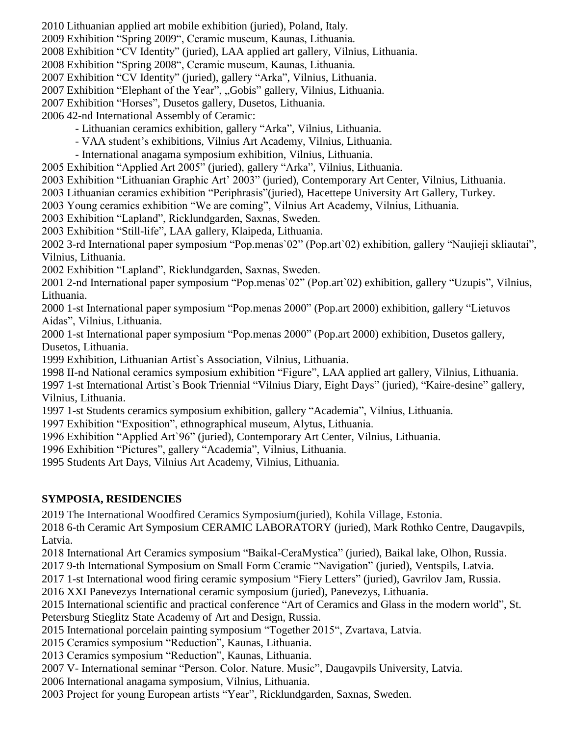- 2010 Lithuanian applied art mobile exhibition (juried), Poland, Italy.
- 2009 Exhibition "Spring 2009", Ceramic museum, Kaunas, Lithuania.
- 2008 Exhibition "CV Identity" (juried), LAA applied art gallery, Vilnius, Lithuania.
- 2008 Exhibition "Spring 2008", Ceramic museum, Kaunas, Lithuania.
- 2007 Exhibition "CV Identity" (juried), gallery "Arka", Vilnius, Lithuania.
- 2007 Exhibition "Elephant of the Year", "Gobis" gallery, Vilnius, Lithuania.
- 2007 Exhibition "Horses", Dusetos gallery, Dusetos, Lithuania.
- 2006 42-nd International Assembly of Ceramic:
	- Lithuanian ceramics exhibition, gallery "Arka", Vilnius, Lithuania.
	- VAA student's exhibitions, Vilnius Art Academy, Vilnius, Lithuania.
	- International anagama symposium exhibition, Vilnius, Lithuania.
- 2005 Exhibition "Applied Art 2005" (juried), gallery "Arka", Vilnius, Lithuania.
- 2003 Exhibition "Lithuanian Graphic Art' 2003" (juried), Contemporary Art Center, Vilnius, Lithuania.
- 2003 Lithuanian ceramics exhibition "Periphrasis"(juried), Hacettepe University Art Gallery, Turkey.
- 2003 Young ceramics exhibition "We are coming", Vilnius Art Academy, Vilnius, Lithuania.
- 2003 Exhibition "Lapland", Ricklundgarden, Saxnas, Sweden.
- 2003 Exhibition "Still-life", LAA gallery, Klaipeda, Lithuania.
- 2002 3-rd International paper symposium "Pop.menas`02" (Pop.art`02) exhibition, gallery "Naujieji skliautai", Vilnius, Lithuania.
- 2002 Exhibition "Lapland", Ricklundgarden, Saxnas, Sweden.
- 2001 2-nd International paper symposium "Pop.menas`02" (Pop.art`02) exhibition, gallery "Uzupis", Vilnius, Lithuania.
- 2000 1-st International paper symposium "Pop.menas 2000" (Pop.art 2000) exhibition, gallery "Lietuvos Aidas", Vilnius, Lithuania.
- 2000 1-st International paper symposium "Pop.menas 2000" (Pop.art 2000) exhibition, Dusetos gallery, Dusetos, Lithuania.
- 1999 Exhibition, Lithuanian Artist`s Association, Vilnius, Lithuania.
- 1998 II-nd National ceramics symposium exhibition "Figure", LAA applied art gallery, Vilnius, Lithuania. 1997 1-st International Artist`s Book Triennial "Vilnius Diary, Eight Days" (juried), "Kaire-desine" gallery, Vilnius, Lithuania.
- 1997 1-st Students ceramics symposium exhibition, gallery "Academia", Vilnius, Lithuania.
- 1997 Exhibition "Exposition", ethnographical museum, Alytus, Lithuania.
- 1996 Exhibition "Applied Art`96" (juried), Contemporary Art Center, Vilnius, Lithuania.
- 1996 Exhibition "Pictures", gallery "Academia", Vilnius, Lithuania.
- 1995 Students Art Days, Vilnius Art Academy, Vilnius, Lithuania.

# **SYMPOSIA, RESIDENCIES**

2019 The International Woodfired Ceramics Symposium(juried), Kohila Village, Estonia.

2018 6-th Ceramic Art Symposium CERAMIC LABORATORY (juried), Mark Rothko Centre, Daugavpils, Latvia.

- 2018 International Art Ceramics symposium "Baikal-CeraMystica" (juried), Baikal lake, Olhon, Russia.
- 2017 9-th International Symposium on Small Form Ceramic "Navigation" (juried), Ventspils, Latvia.
- 2017 1-st International wood firing ceramic symposium "Fiery Letters" (juried), Gavrilov Jam, Russia.
- 2016 XXI Panevezys International ceramic symposium (juried), Panevezys, Lithuania.
- 2015 International scientific and practical conference "Art of Ceramics and Glass in the modern world", St. Petersburg Stieglitz State Academy of Art and Design, Russia.
- 2015 International porcelain painting symposium "Together 2015", Zvartava, Latvia.
- 2015 Ceramics symposium "Reduction", Kaunas, Lithuania.
- 2013 Ceramics symposium "Reduction", Kaunas, Lithuania.
- 2007 V- International seminar "Person. Color. Nature. Music", Daugavpils University, Latvia.
- 2006 International anagama symposium, Vilnius, Lithuania.
- 2003 Project for young European artists "Year", Ricklundgarden, Saxnas, Sweden.